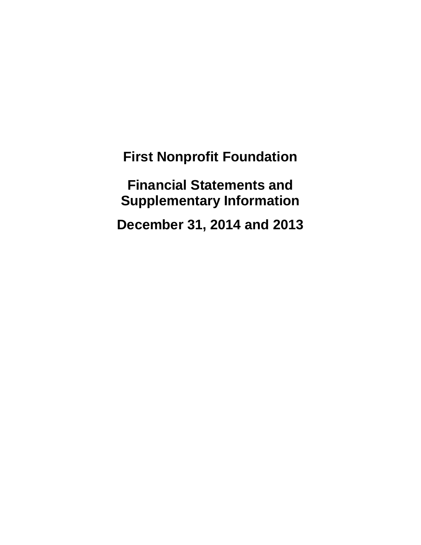**Financial Statements and Supplementary Information**

**December 31, 2014 and 2013**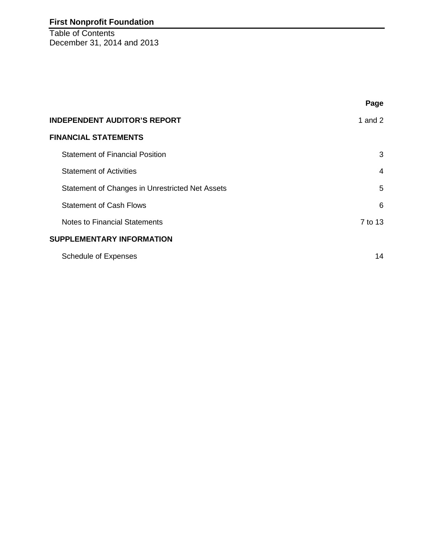Table of Contents December 31, 2014 and 2013

|                                                 | Page           |
|-------------------------------------------------|----------------|
| <b>INDEPENDENT AUDITOR'S REPORT</b>             | 1 and $2$      |
| <b>FINANCIAL STATEMENTS</b>                     |                |
| <b>Statement of Financial Position</b>          | 3              |
| <b>Statement of Activities</b>                  | $\overline{4}$ |
| Statement of Changes in Unrestricted Net Assets | 5              |
| <b>Statement of Cash Flows</b>                  | 6              |
| <b>Notes to Financial Statements</b>            | 7 to 13        |
| <b>SUPPLEMENTARY INFORMATION</b>                |                |
| <b>Schedule of Expenses</b>                     | 14             |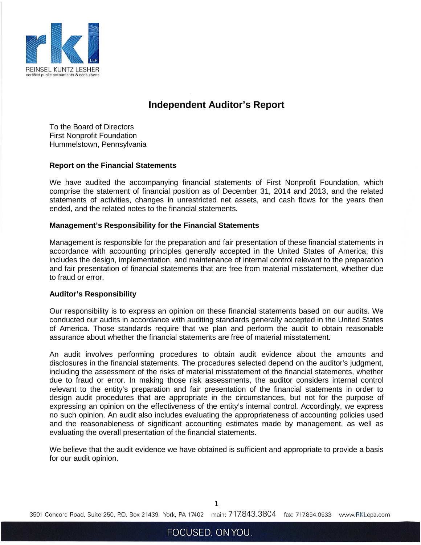

## **Independent Auditor's Report**

To the Board of Directors First Nonprofit Foundation Hummelstown, Pennsylvania

#### **Report on the Financial Statements**

We have audited the accompanying financial statements of First Nonprofit Foundation, which comprise the statement of financial position as of December 31, 2014 and 2013, and the related statements of activities, changes in unrestricted net assets, and cash flows for the years then ended, and the related notes to the financial statements.

#### **Management's Responsibility for the Financial Statements**

Management is responsible for the preparation and fair presentation of these financial statements in accordance with accounting principles generally accepted in the United States of America; this includes the design, implementation, and maintenance of internal control relevant to the preparation and fair presentation of financial statements that are free from material misstatement, whether due to fraud or error.

#### **Auditor's Responsibility**

Our responsibility is to express an opinion on these financial statements based on our audits. We conducted our audits in accordance with auditing standards generally accepted in the United States of America. Those standards require that we plan and perform the audit to obtain reasonable assurance about whether the financial statements are free of material misstatement.

An audit involves performing procedures to obtain audit evidence about the amounts and disclosures in the financial statements. The procedures selected depend on the auditor's judgment, including the assessment of the risks of material misstatement of the financial statements, whether due to fraud or error. In making those risk assessments, the auditor considers internal control relevant to the entity's preparation and fair presentation of the financial statements in order to design audit procedures that are appropriate in the circumstances, but not for the purpose of expressing an opinion on the effectiveness of the entity's internal control. Accordingly, we express no such opinion. An audit also includes evaluating the appropriateness of accounting policies used and the reasonableness of significant accounting estimates made by management, as well as evaluating the overall presentation of the financial statements.

We believe that the audit evidence we have obtained is sufficient and appropriate to provide a basis for our audit opinion.

1

3501 Concord Road, Suite 250, P.O. Box 21439 York, PA 17402 main: 717.843.3804 fax: 717.854.0533 www.RKLcpa.com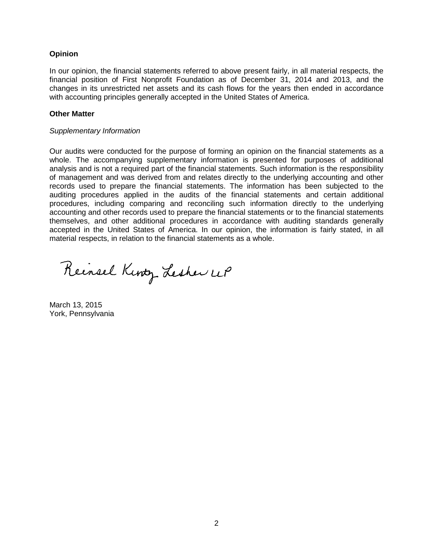## **Opinion**

In our opinion, the financial statements referred to above present fairly, in all material respects, the financial position of First Nonprofit Foundation as of December 31, 2014 and 2013, and the changes in its unrestricted net assets and its cash flows for the years then ended in accordance with accounting principles generally accepted in the United States of America.

#### **Other Matter**

#### *Supplementary Information*

Our audits were conducted for the purpose of forming an opinion on the financial statements as a whole. The accompanying supplementary information is presented for purposes of additional analysis and is not a required part of the financial statements. Such information is the responsibility of management and was derived from and relates directly to the underlying accounting and other records used to prepare the financial statements. The information has been subjected to the auditing procedures applied in the audits of the financial statements and certain additional procedures, including comparing and reconciling such information directly to the underlying accounting and other records used to prepare the financial statements or to the financial statements themselves, and other additional procedures in accordance with auditing standards generally accepted in the United States of America. In our opinion, the information is fairly stated, in all material respects, in relation to the financial statements as a whole.

Reinsel Kinty Lesher UP

March 13, 2015 York, Pennsylvania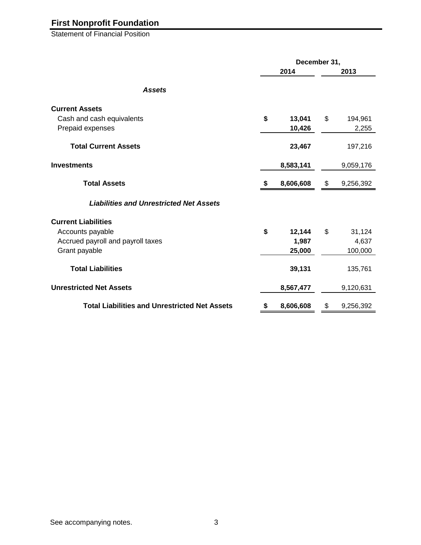Statement of Financial Position

|                                                      | December 31, |           |      |           |  |  |
|------------------------------------------------------|--------------|-----------|------|-----------|--|--|
|                                                      |              | 2014      | 2013 |           |  |  |
| <b>Assets</b>                                        |              |           |      |           |  |  |
| <b>Current Assets</b>                                |              |           |      |           |  |  |
| Cash and cash equivalents                            | \$           | 13,041    | \$   | 194,961   |  |  |
| Prepaid expenses                                     |              | 10,426    |      | 2,255     |  |  |
| <b>Total Current Assets</b>                          |              | 23,467    |      | 197,216   |  |  |
| <b>Investments</b>                                   |              | 8,583,141 |      | 9,059,176 |  |  |
| <b>Total Assets</b>                                  | S            | 8,606,608 | \$   | 9,256,392 |  |  |
| <b>Liabilities and Unrestricted Net Assets</b>       |              |           |      |           |  |  |
| <b>Current Liabilities</b>                           |              |           |      |           |  |  |
| Accounts payable                                     | \$           | 12,144    | \$   | 31,124    |  |  |
| Accrued payroll and payroll taxes                    |              | 1,987     |      | 4,637     |  |  |
| Grant payable                                        |              | 25,000    |      | 100,000   |  |  |
| <b>Total Liabilities</b>                             |              | 39,131    |      | 135,761   |  |  |
| <b>Unrestricted Net Assets</b>                       |              | 8,567,477 |      | 9,120,631 |  |  |
| <b>Total Liabilities and Unrestricted Net Assets</b> | \$           | 8,606,608 | \$   | 9,256,392 |  |  |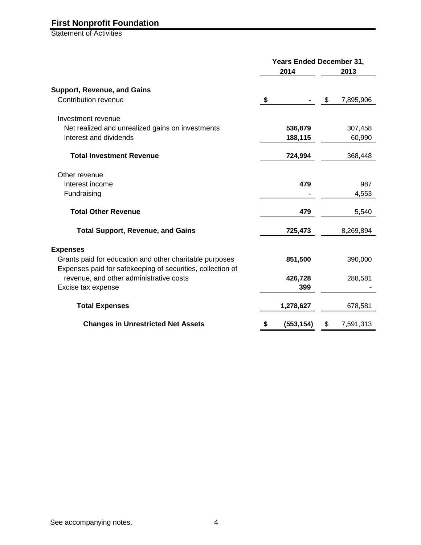Statement of Activities

|                                                            | 2014             | <b>Years Ended December 31,</b><br>2013 |           |  |
|------------------------------------------------------------|------------------|-----------------------------------------|-----------|--|
| <b>Support, Revenue, and Gains</b>                         |                  |                                         |           |  |
| Contribution revenue                                       | \$               | - \$                                    | 7,895,906 |  |
| Investment revenue                                         |                  |                                         |           |  |
| Net realized and unrealized gains on investments           | 536,879          |                                         | 307,458   |  |
| Interest and dividends                                     | 188,115          |                                         | 60,990    |  |
| <b>Total Investment Revenue</b>                            | 724,994          |                                         | 368,448   |  |
| Other revenue                                              |                  |                                         |           |  |
| Interest income                                            | 479              |                                         | 987       |  |
| Fundraising                                                |                  |                                         | 4,553     |  |
| <b>Total Other Revenue</b>                                 | 479              |                                         | 5,540     |  |
| <b>Total Support, Revenue, and Gains</b>                   | 725,473          |                                         | 8,269,894 |  |
| <b>Expenses</b>                                            |                  |                                         |           |  |
| Grants paid for education and other charitable purposes    | 851,500          |                                         | 390,000   |  |
| Expenses paid for safekeeping of securities, collection of |                  |                                         |           |  |
| revenue, and other administrative costs                    | 426,728          |                                         | 288,581   |  |
| Excise tax expense                                         | 399              |                                         |           |  |
| <b>Total Expenses</b>                                      | 1,278,627        |                                         | 678,581   |  |
| <b>Changes in Unrestricted Net Assets</b>                  | \$<br>(553, 154) | \$                                      | 7,591,313 |  |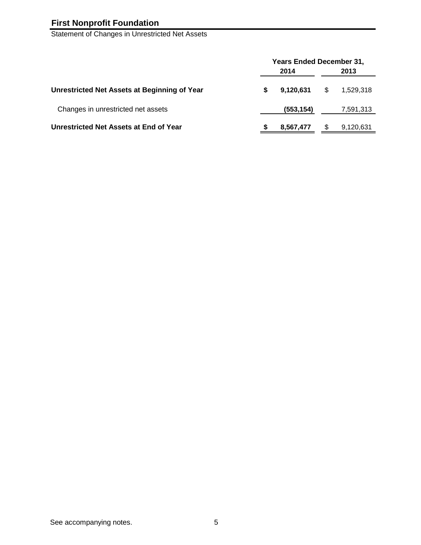Statement of Changes in Unrestricted Net Assets

|                                              | <b>Years Ended December 31,</b> |            |   |           |  |  |  |
|----------------------------------------------|---------------------------------|------------|---|-----------|--|--|--|
|                                              | 2014                            |            |   |           |  |  |  |
| Unrestricted Net Assets at Beginning of Year | S                               | 9,120,631  | S | 1,529,318 |  |  |  |
| Changes in unrestricted net assets           |                                 | (553, 154) |   | 7,591,313 |  |  |  |
| Unrestricted Net Assets at End of Year       |                                 | 8,567,477  |   | 9,120,631 |  |  |  |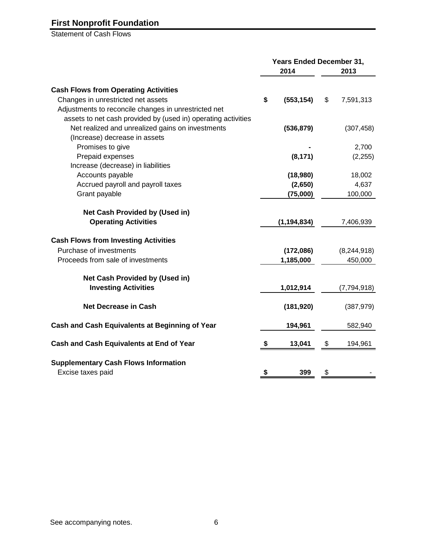Statement of Cash Flows

|                                                                  |    | Years Ended December 31, |    |             |
|------------------------------------------------------------------|----|--------------------------|----|-------------|
|                                                                  |    | 2014                     |    | 2013        |
| <b>Cash Flows from Operating Activities</b>                      |    |                          |    |             |
| Changes in unrestricted net assets                               | \$ | (553, 154)               | \$ | 7,591,313   |
| Adjustments to reconcile changes in unrestricted net             |    |                          |    |             |
| assets to net cash provided by (used in) operating activities    |    |                          |    |             |
| Net realized and unrealized gains on investments                 |    | (536, 879)               |    | (307, 458)  |
| (Increase) decrease in assets                                    |    |                          |    |             |
| Promises to give                                                 |    |                          |    | 2,700       |
| Prepaid expenses                                                 |    | (8, 171)                 |    | (2, 255)    |
| Increase (decrease) in liabilities                               |    |                          |    |             |
| Accounts payable                                                 |    | (18,980)                 |    | 18,002      |
| Accrued payroll and payroll taxes                                |    | (2,650)                  |    | 4,637       |
| Grant payable                                                    |    | (75,000)                 |    | 100,000     |
| Net Cash Provided by (Used in)                                   |    |                          |    |             |
| <b>Operating Activities</b>                                      |    | (1, 194, 834)            |    | 7,406,939   |
| <b>Cash Flows from Investing Activities</b>                      |    |                          |    |             |
| Purchase of investments                                          |    | (172,086)                |    | (8,244,918) |
| Proceeds from sale of investments                                |    | 1,185,000                |    | 450,000     |
| Net Cash Provided by (Used in)                                   |    |                          |    |             |
| <b>Investing Activities</b>                                      |    | 1,012,914                |    | (7,794,918) |
| <b>Net Decrease in Cash</b>                                      |    | (181, 920)               |    | (387, 979)  |
| <b>Cash and Cash Equivalents at Beginning of Year</b>            |    | 194,961                  |    | 582,940     |
| <b>Cash and Cash Equivalents at End of Year</b>                  | \$ | 13,041                   | \$ | 194,961     |
| <b>Supplementary Cash Flows Information</b><br>Excise taxes paid | \$ | 399                      | \$ |             |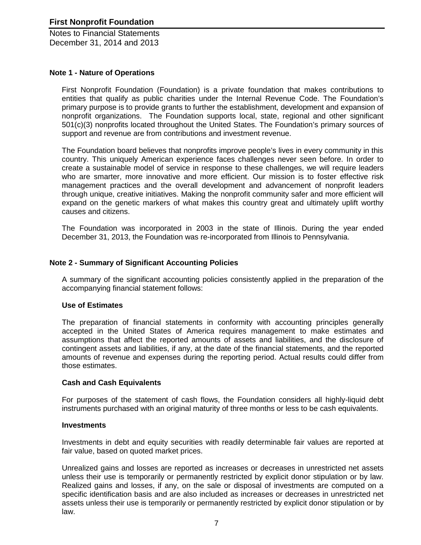### **Note 1 - Nature of Operations**

First Nonprofit Foundation (Foundation) is a private foundation that makes contributions to entities that qualify as public charities under the Internal Revenue Code. The Foundation's primary purpose is to provide grants to further the establishment, development and expansion of nonprofit organizations. The Foundation supports local, state, regional and other significant 501(c)(3) nonprofits located throughout the United States. The Foundation's primary sources of support and revenue are from contributions and investment revenue.

The Foundation board believes that nonprofits improve people's lives in every community in this country. This uniquely American experience faces challenges never seen before. In order to create a sustainable model of service in response to these challenges, we will require leaders who are smarter, more innovative and more efficient. Our mission is to foster effective risk management practices and the overall development and advancement of nonprofit leaders through unique, creative initiatives. Making the nonprofit community safer and more efficient will expand on the genetic markers of what makes this country great and ultimately uplift worthy causes and citizens.

The Foundation was incorporated in 2003 in the state of Illinois. During the year ended December 31, 2013, the Foundation was re-incorporated from Illinois to Pennsylvania.

## **Note 2 - Summary of Significant Accounting Policies**

A summary of the significant accounting policies consistently applied in the preparation of the accompanying financial statement follows:

#### **Use of Estimates**

The preparation of financial statements in conformity with accounting principles generally accepted in the United States of America requires management to make estimates and assumptions that affect the reported amounts of assets and liabilities, and the disclosure of contingent assets and liabilities, if any, at the date of the financial statements, and the reported amounts of revenue and expenses during the reporting period. Actual results could differ from those estimates.

#### **Cash and Cash Equivalents**

For purposes of the statement of cash flows, the Foundation considers all highly-liquid debt instruments purchased with an original maturity of three months or less to be cash equivalents.

#### **Investments**

Investments in debt and equity securities with readily determinable fair values are reported at fair value, based on quoted market prices.

Unrealized gains and losses are reported as increases or decreases in unrestricted net assets unless their use is temporarily or permanently restricted by explicit donor stipulation or by law. Realized gains and losses, if any, on the sale or disposal of investments are computed on a specific identification basis and are also included as increases or decreases in unrestricted net assets unless their use is temporarily or permanently restricted by explicit donor stipulation or by law.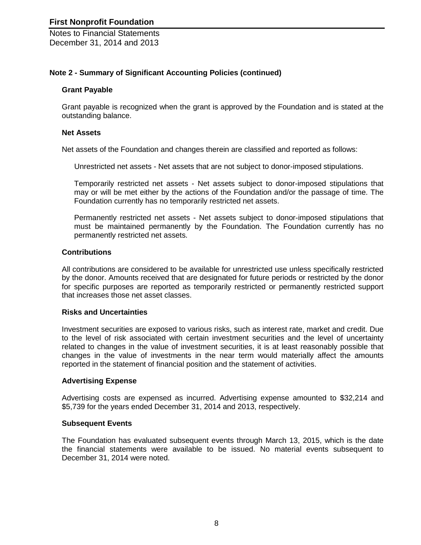## **Note 2 - Summary of Significant Accounting Policies (continued)**

#### **Grant Payable**

Grant payable is recognized when the grant is approved by the Foundation and is stated at the outstanding balance.

#### **Net Assets**

Net assets of the Foundation and changes therein are classified and reported as follows:

Unrestricted net assets - Net assets that are not subject to donor-imposed stipulations.

Temporarily restricted net assets - Net assets subject to donor-imposed stipulations that may or will be met either by the actions of the Foundation and/or the passage of time. The Foundation currently has no temporarily restricted net assets.

Permanently restricted net assets - Net assets subject to donor-imposed stipulations that must be maintained permanently by the Foundation. The Foundation currently has no permanently restricted net assets.

#### **Contributions**

All contributions are considered to be available for unrestricted use unless specifically restricted by the donor. Amounts received that are designated for future periods or restricted by the donor for specific purposes are reported as temporarily restricted or permanently restricted support that increases those net asset classes.

## **Risks and Uncertainties**

Investment securities are exposed to various risks, such as interest rate, market and credit. Due to the level of risk associated with certain investment securities and the level of uncertainty related to changes in the value of investment securities, it is at least reasonably possible that changes in the value of investments in the near term would materially affect the amounts reported in the statement of financial position and the statement of activities.

## **Advertising Expense**

Advertising costs are expensed as incurred. Advertising expense amounted to \$32,214 and \$5,739 for the years ended December 31, 2014 and 2013, respectively.

#### **Subsequent Events**

The Foundation has evaluated subsequent events through March 13, 2015, which is the date the financial statements were available to be issued. No material events subsequent to December 31, 2014 were noted.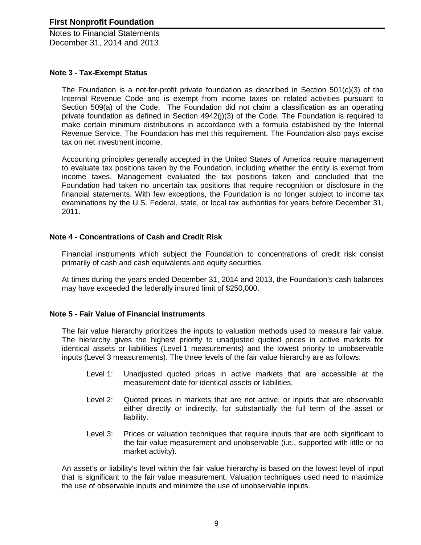## **Note 3 - Tax-Exempt Status**

The Foundation is a not-for-profit private foundation as described in Section  $501(c)(3)$  of the Internal Revenue Code and is exempt from income taxes on related activities pursuant to Section 509(a) of the Code. The Foundation did not claim a classification as an operating private foundation as defined in Section 4942(j)(3) of the Code. The Foundation is required to make certain minimum distributions in accordance with a formula established by the Internal Revenue Service. The Foundation has met this requirement. The Foundation also pays excise tax on net investment income.

Accounting principles generally accepted in the United States of America require management to evaluate tax positions taken by the Foundation, including whether the entity is exempt from income taxes. Management evaluated the tax positions taken and concluded that the Foundation had taken no uncertain tax positions that require recognition or disclosure in the financial statements. With few exceptions, the Foundation is no longer subject to income tax examinations by the U.S. Federal, state, or local tax authorities for years before December 31, 2011.

#### **Note 4 - Concentrations of Cash and Credit Risk**

Financial instruments which subject the Foundation to concentrations of credit risk consist primarily of cash and cash equivalents and equity securities.

At times during the years ended December 31, 2014 and 2013, the Foundation's cash balances may have exceeded the federally insured limit of \$250,000.

#### **Note 5 - Fair Value of Financial Instruments**

The fair value hierarchy prioritizes the inputs to valuation methods used to measure fair value. The hierarchy gives the highest priority to unadjusted quoted prices in active markets for identical assets or liabilities (Level 1 measurements) and the lowest priority to unobservable inputs (Level 3 measurements). The three levels of the fair value hierarchy are as follows:

- Level 1: Unadjusted quoted prices in active markets that are accessible at the measurement date for identical assets or liabilities.
- Level 2: Quoted prices in markets that are not active, or inputs that are observable either directly or indirectly, for substantially the full term of the asset or liability.
- Level 3: Prices or valuation techniques that require inputs that are both significant to the fair value measurement and unobservable (i.e., supported with little or no market activity).

An asset's or liability's level within the fair value hierarchy is based on the lowest level of input that is significant to the fair value measurement. Valuation techniques used need to maximize the use of observable inputs and minimize the use of unobservable inputs.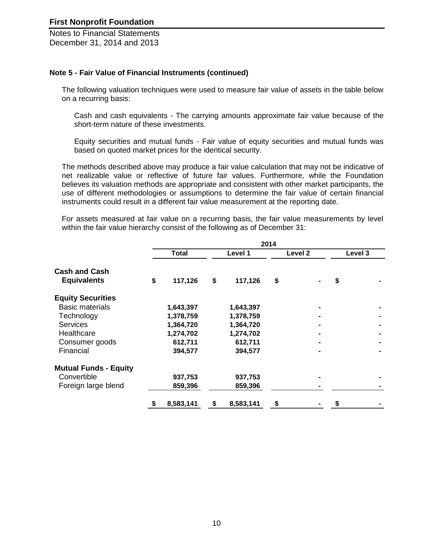#### **Note 5 - Fair Value of Financial Instruments (continued)**

The following valuation techniques were used to measure fair value of assets in the table below on a recurring basis:

Cash and cash equivalents - The carrying amounts approximate fair value because of the short-term nature of these investments.

Equity securities and mutual funds - Fair value of equity securities and mutual funds was based on quoted market prices for the identical security.

The methods described above may produce a fair value calculation that may not be indicative of net realizable value or reflective of future fair values. Furthermore, while the Foundation believes its valuation methods are appropriate and consistent with other market participants, the use of different methodologies or assumptions to determine the fair value of certain financial instruments could result in a different fair value measurement at the reporting date.

For assets measured at fair value on a recurring basis, the fair value measurements by level within the fair value hierarchy consist of the following as of December 31:

|                                            |              |           |                 | 2014               |  |         |  |
|--------------------------------------------|--------------|-----------|-----------------|--------------------|--|---------|--|
|                                            | <b>Total</b> |           | Level 1         | Level <sub>2</sub> |  | Level 3 |  |
| <b>Cash and Cash</b><br><b>Equivalents</b> | \$           | 117,126   | \$<br>117,126   | \$                 |  | \$      |  |
| <b>Equity Securities</b>                   |              |           |                 |                    |  |         |  |
| <b>Basic materials</b>                     |              | 1,643,397 | 1,643,397       |                    |  |         |  |
| Technology                                 |              | 1,378,759 | 1,378,759       |                    |  |         |  |
| <b>Services</b>                            |              | 1,364,720 | 1,364,720       |                    |  |         |  |
| Healthcare                                 |              | 1,274,702 | 1,274,702       |                    |  |         |  |
| Consumer goods                             |              | 612,711   | 612,711         |                    |  |         |  |
| Financial                                  |              | 394,577   | 394,577         |                    |  |         |  |
| <b>Mutual Funds - Equity</b>               |              |           |                 |                    |  |         |  |
| Convertible                                |              | 937,753   | 937,753         |                    |  |         |  |
| Foreign large blend                        |              | 859,396   | 859,396         |                    |  |         |  |
|                                            | \$           | 8,583,141 | \$<br>8,583,141 | \$                 |  |         |  |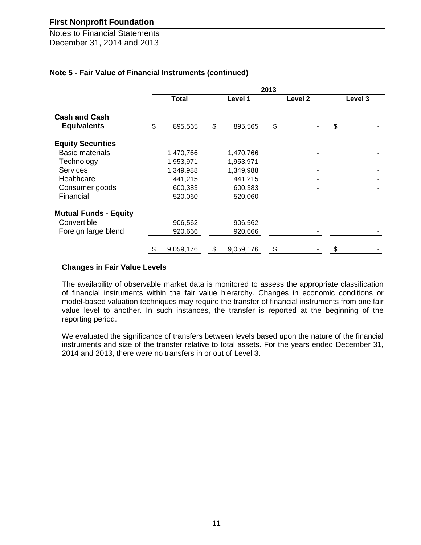Notes to Financial Statements December 31, 2014 and 2013

## **Note 5 - Fair Value of Financial Instruments (continued)**

|                              |              |           |         |           | 2013 |                    |         |  |
|------------------------------|--------------|-----------|---------|-----------|------|--------------------|---------|--|
|                              | <b>Total</b> |           | Level 1 |           |      | Level <sub>2</sub> | Level 3 |  |
| <b>Cash and Cash</b>         |              |           |         |           |      |                    |         |  |
| <b>Equivalents</b>           | \$           | 895,565   | \$      | 895,565   | \$   |                    | \$      |  |
| <b>Equity Securities</b>     |              |           |         |           |      |                    |         |  |
| <b>Basic materials</b>       |              | 1,470,766 |         | 1,470,766 |      |                    |         |  |
| Technology                   |              | 1,953,971 |         | 1,953,971 |      |                    |         |  |
| <b>Services</b>              |              | 1,349,988 |         | 1,349,988 |      |                    |         |  |
| Healthcare                   |              | 441,215   |         | 441,215   |      |                    |         |  |
| Consumer goods               |              | 600,383   |         | 600,383   |      |                    |         |  |
| Financial                    |              | 520,060   |         | 520,060   |      |                    |         |  |
| <b>Mutual Funds - Equity</b> |              |           |         |           |      |                    |         |  |
| Convertible                  |              | 906,562   |         | 906,562   |      |                    |         |  |
| Foreign large blend          |              | 920,666   |         | 920,666   |      |                    |         |  |
|                              | \$           | 9,059,176 | \$      | 9,059,176 | \$   |                    | \$      |  |

#### **Changes in Fair Value Levels**

The availability of observable market data is monitored to assess the appropriate classification of financial instruments within the fair value hierarchy. Changes in economic conditions or model-based valuation techniques may require the transfer of financial instruments from one fair value level to another. In such instances, the transfer is reported at the beginning of the reporting period.

We evaluated the significance of transfers between levels based upon the nature of the financial instruments and size of the transfer relative to total assets. For the years ended December 31, 2014 and 2013, there were no transfers in or out of Level 3.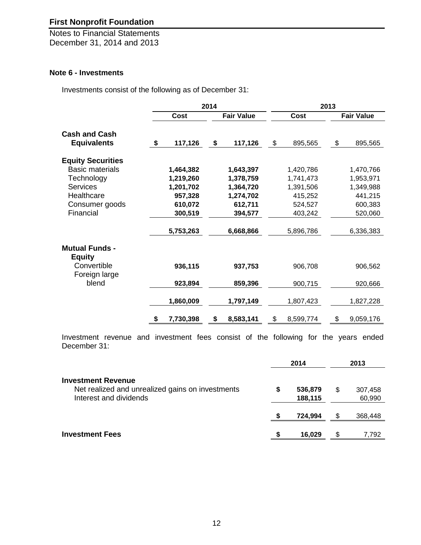Notes to Financial Statements December 31, 2014 and 2013

## **Note 6 - Investments**

Investments consist of the following as of December 31:

|                                        |                 | 2014 |                   |                 | 2013 |                   |
|----------------------------------------|-----------------|------|-------------------|-----------------|------|-------------------|
|                                        | Cost            |      | <b>Fair Value</b> | Cost            |      | <b>Fair Value</b> |
| <b>Cash and Cash</b>                   |                 |      |                   |                 |      |                   |
| <b>Equivalents</b>                     | \$<br>117,126   | \$   | 117,126           | \$<br>895,565   | \$   | 895,565           |
| <b>Equity Securities</b>               |                 |      |                   |                 |      |                   |
| <b>Basic materials</b>                 | 1,464,382       |      | 1,643,397         | 1,420,786       |      | 1,470,766         |
| Technology                             | 1,219,260       |      | 1,378,759         | 1,741,473       |      | 1,953,971         |
| <b>Services</b>                        | 1,201,702       |      | 1,364,720         | 1,391,506       |      | 1,349,988         |
| Healthcare                             | 957,328         |      | 1,274,702         | 415,252         |      | 441,215           |
| Consumer goods                         | 610,072         |      | 612,711           | 524,527         |      | 600,383           |
| Financial                              | 300,519         |      | 394,577           | 403,242         |      | 520,060           |
|                                        | 5,753,263       |      | 6,668,866         | 5,896,786       |      | 6,336,383         |
| <b>Mutual Funds -</b><br><b>Equity</b> |                 |      |                   |                 |      |                   |
| Convertible<br>Foreign large           | 936,115         |      | 937,753           | 906,708         |      | 906,562           |
| blend                                  | 923,894         |      | 859,396           | 900,715         |      | 920,666           |
|                                        | 1,860,009       |      | 1,797,149         | 1,807,423       |      | 1,827,228         |
|                                        | \$<br>7,730,398 | \$   | 8,583,141         | \$<br>8,599,774 | \$   | 9,059,176         |

Investment revenue and investment fees consist of the following for the years ended December 31:

|                                                                                                         |   | 2014               |     | 2013              |
|---------------------------------------------------------------------------------------------------------|---|--------------------|-----|-------------------|
| <b>Investment Revenue</b><br>Net realized and unrealized gains on investments<br>Interest and dividends | S | 536,879<br>188,115 | \$  | 307,458<br>60,990 |
|                                                                                                         |   | 724,994            | \$  | 368,448           |
| <b>Investment Fees</b>                                                                                  |   | 16,029             | \$. | 7.792             |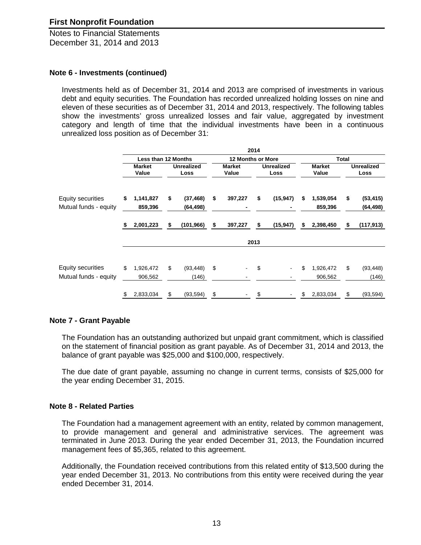### **Note 6 - Investments (continued)**

Investments held as of December 31, 2014 and 2013 are comprised of investments in various debt and equity securities. The Foundation has recorded unrealized holding losses on nine and eleven of these securities as of December 31, 2014 and 2013, respectively. The following tables show the investments' gross unrealized losses and fair value, aggregated by investment category and length of time that the individual investments have been in a continuous unrealized loss position as of December 31:

|                                                   |    |                            |                           |                              | 2014          |                           |                            |                            |                           |                       |
|---------------------------------------------------|----|----------------------------|---------------------------|------------------------------|---------------|---------------------------|----------------------------|----------------------------|---------------------------|-----------------------|
|                                                   |    | <b>Less than 12 Months</b> |                           | <b>12 Months or More</b>     |               |                           | <b>Total</b>               |                            |                           |                       |
|                                                   |    | <b>Market</b><br>Value     | <b>Unrealized</b><br>Loss | <b>Market</b><br>Value       |               | <b>Unrealized</b><br>Loss | <b>Market</b><br>Value     |                            | <b>Unrealized</b><br>Loss |                       |
| Equity securities<br>Mutual funds - equity        | \$ |                            | 1,141,827<br>859,396      | \$<br>(37, 468)<br>(64, 498) | \$<br>397,227 | \$                        | (15, 947)                  | \$<br>1,539,054<br>859,396 | \$                        | (53, 415)<br>(64,498) |
|                                                   | S  | 2,001,223                  | \$<br>(101, 966)          | \$<br>397,227                | \$            | (15, 947)                 | \$<br>2,398,450            | \$                         | (117, 913)                |                       |
|                                                   |    |                            |                           |                              | 2013          |                           |                            |                            |                           |                       |
| <b>Equity securities</b><br>Mutual funds - equity | \$ | 1,926,472<br>906,562       | \$<br>(93, 448)<br>(146)  | \$                           | \$            | ٠                         | \$<br>1,926,472<br>906,562 | \$                         | (93, 448)<br>(146)        |                       |
|                                                   | \$ | 2,833,034                  | \$<br>(93, 594)           | \$                           | S             |                           | \$<br>2,833,034            | \$                         | (93, 594)                 |                       |

## **Note 7 - Grant Payable**

The Foundation has an outstanding authorized but unpaid grant commitment, which is classified on the statement of financial position as grant payable. As of December 31, 2014 and 2013, the balance of grant payable was \$25,000 and \$100,000, respectively.

The due date of grant payable, assuming no change in current terms, consists of \$25,000 for the year ending December 31, 2015.

## **Note 8 - Related Parties**

The Foundation had a management agreement with an entity, related by common management, to provide management and general and administrative services. The agreement was terminated in June 2013. During the year ended December 31, 2013, the Foundation incurred management fees of \$5,365, related to this agreement.

Additionally, the Foundation received contributions from this related entity of \$13,500 during the year ended December 31, 2013. No contributions from this entity were received during the year ended December 31, 2014.